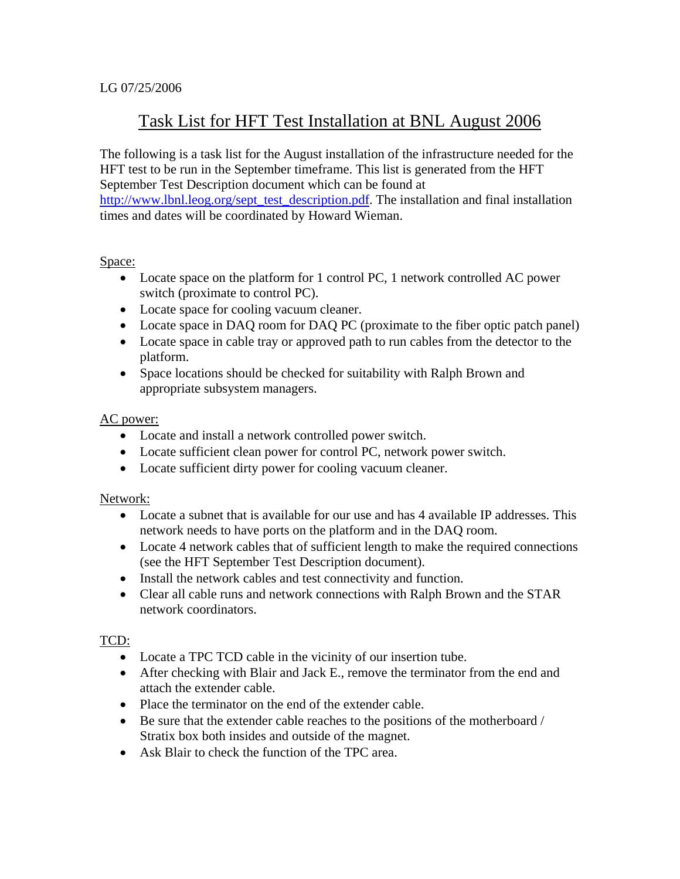# Task List for HFT Test Installation at BNL August 2006

The following is a task list for the August installation of the infrastructure needed for the HFT test to be run in the September timeframe. This list is generated from the HFT September Test Description document which can be found at http://www.lbnl.leog.org/sept\_test\_description.pdf. The installation and final installation times and dates will be coordinated by Howard Wieman.

#### Space:

- Locate space on the platform for 1 control PC, 1 network controlled AC power switch (proximate to control PC).
- Locate space for cooling vacuum cleaner.
- Locate space in DAQ room for DAQ PC (proximate to the fiber optic patch panel)
- Locate space in cable tray or approved path to run cables from the detector to the platform.
- Space locations should be checked for suitability with Ralph Brown and appropriate subsystem managers.

## AC power:

- Locate and install a network controlled power switch.
- Locate sufficient clean power for control PC, network power switch.
- Locate sufficient dirty power for cooling vacuum cleaner.

## Network:

- Locate a subnet that is available for our use and has 4 available IP addresses. This network needs to have ports on the platform and in the DAQ room.
- Locate 4 network cables that of sufficient length to make the required connections (see the HFT September Test Description document).
- Install the network cables and test connectivity and function.
- Clear all cable runs and network connections with Ralph Brown and the STAR network coordinators.

## TCD:

- Locate a TPC TCD cable in the vicinity of our insertion tube.
- After checking with Blair and Jack E., remove the terminator from the end and attach the extender cable.
- Place the terminator on the end of the extender cable.
- Be sure that the extender cable reaches to the positions of the motherboard / Stratix box both insides and outside of the magnet.
- Ask Blair to check the function of the TPC area.